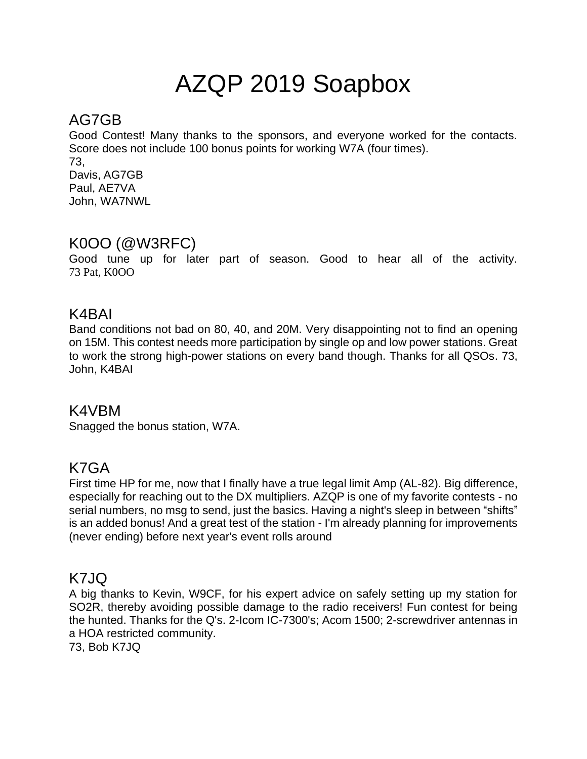# AZQP 2019 Soapbox

# AG7GB

Good Contest! Many thanks to the sponsors, and everyone worked for the contacts. Score does not include 100 bonus points for working W7A (four times). 73, Davis, AG7GB Paul, AE7VA John, WA7NWL

## K0OO (@W3RFC)

Good tune up for later part of season. Good to hear all of the activity. 73 Pat, K0OO

## K4BAI

Band conditions not bad on 80, 40, and 20M. Very disappointing not to find an opening on 15M. This contest needs more participation by single op and low power stations. Great to work the strong high-power stations on every band though. Thanks for all QSOs. 73, John, K4BAI

## K4VBM

Snagged the bonus station, W7A.

## K7GA

First time HP for me, now that I finally have a true legal limit Amp (AL-82). Big difference, especially for reaching out to the DX multipliers. AZQP is one of my favorite contests - no serial numbers, no msg to send, just the basics. Having a night's sleep in between "shifts" is an added bonus! And a great test of the station - I'm already planning for improvements (never ending) before next year's event rolls around

## K7JQ

A big thanks to Kevin, W9CF, for his expert advice on safely setting up my station for SO2R, thereby avoiding possible damage to the radio receivers! Fun contest for being the hunted. Thanks for the Q's. 2-Icom IC-7300's; Acom 1500; 2-screwdriver antennas in a HOA restricted community.

73, Bob K7JQ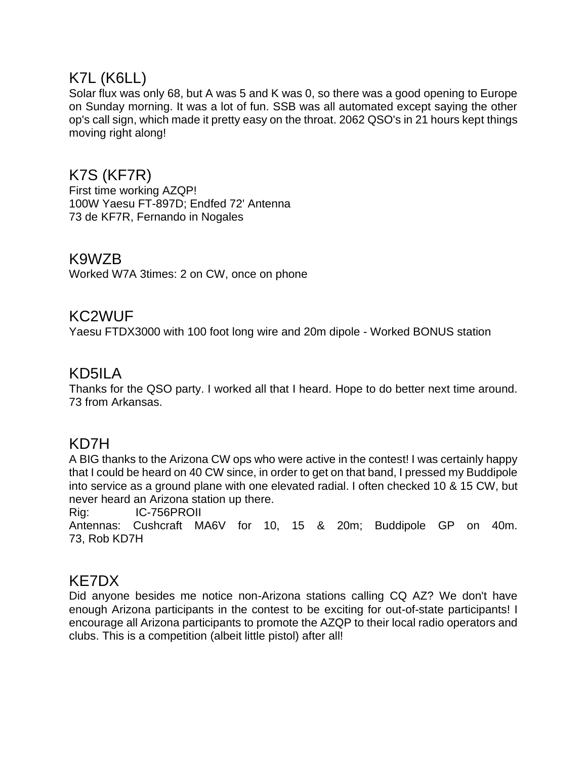## K7L (K6LL)

Solar flux was only 68, but A was 5 and K was 0, so there was a good opening to Europe on Sunday morning. It was a lot of fun. SSB was all automated except saying the other op's call sign, which made it pretty easy on the throat. 2062 QSO's in 21 hours kept things moving right along!

## K7S (KF7R)

First time working AZQP! 100W Yaesu FT-897D; Endfed 72' Antenna 73 de KF7R, Fernando in Nogales

## K9WZB

Worked W7A 3times: 2 on CW, once on phone

## KC2WUF

Yaesu FTDX3000 with 100 foot long wire and 20m dipole - Worked BONUS station

## KD5ILA

Thanks for the QSO party. I worked all that I heard. Hope to do better next time around. 73 from Arkansas.

## KD7H

A BIG thanks to the Arizona CW ops who were active in the contest! I was certainly happy that I could be heard on 40 CW since, in order to get on that band, I pressed my Buddipole into service as a ground plane with one elevated radial. I often checked 10 & 15 CW, but never heard an Arizona station up there.

Rig: IC-756PROII

Antennas: Cushcraft MA6V for 10, 15 & 20m; Buddipole GP on 40m. 73, Rob KD7H

## KE7DX

Did anyone besides me notice non-Arizona stations calling CQ AZ? We don't have enough Arizona participants in the contest to be exciting for out-of-state participants! I encourage all Arizona participants to promote the AZQP to their local radio operators and clubs. This is a competition (albeit little pistol) after all!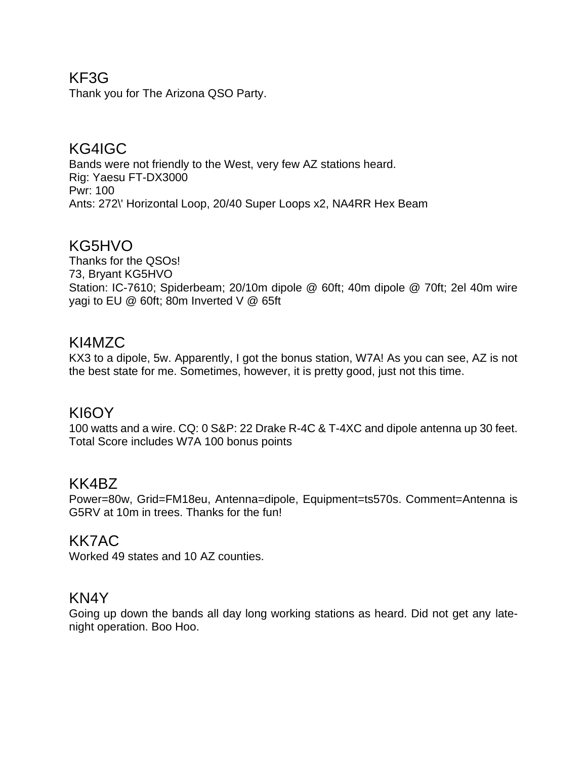## KF3G

Thank you for The Arizona QSO Party.

## KG4IGC

Bands were not friendly to the West, very few AZ stations heard. Rig: Yaesu FT-DX3000 Pwr: 100 Ants: 272\' Horizontal Loop, 20/40 Super Loops x2, NA4RR Hex Beam

## KG5HVO

Thanks for the QSOs! 73, Bryant KG5HVO Station: IC-7610; Spiderbeam; 20/10m dipole @ 60ft; 40m dipole @ 70ft; 2el 40m wire yagi to EU @ 60ft; 80m Inverted V @ 65ft

## KI4MZC

KX3 to a dipole, 5w. Apparently, I got the bonus station, W7A! As you can see, AZ is not the best state for me. Sometimes, however, it is pretty good, just not this time.

## KI6OY

100 watts and a wire. CQ: 0 S&P: 22 Drake R-4C & T-4XC and dipole antenna up 30 feet. Total Score includes W7A 100 bonus points

## KK4BZ

Power=80w, Grid=FM18eu, Antenna=dipole, Equipment=ts570s. Comment=Antenna is G5RV at 10m in trees. Thanks for the fun!

#### KK7AC

Worked 49 states and 10 AZ counties.

#### KN4Y

Going up down the bands all day long working stations as heard. Did not get any latenight operation. Boo Hoo.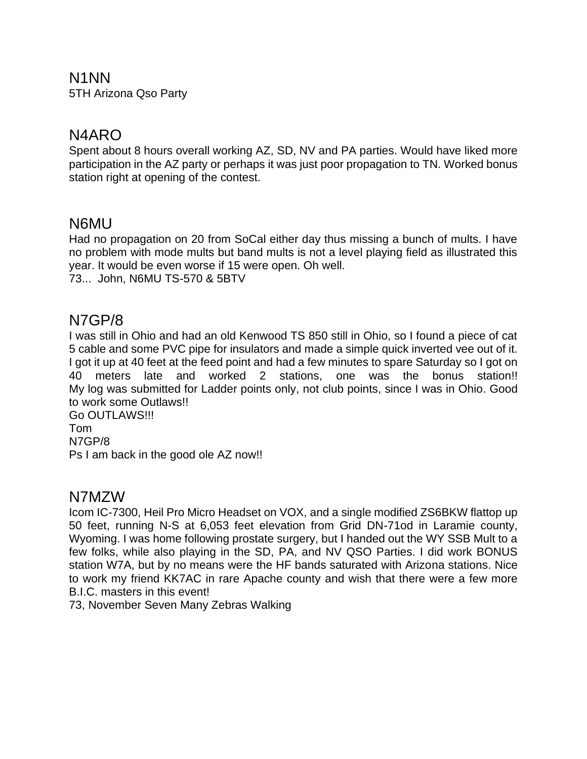#### N1NN

5TH Arizona Qso Party

## N4ARO

Spent about 8 hours overall working AZ, SD, NV and PA parties. Would have liked more participation in the AZ party or perhaps it was just poor propagation to TN. Worked bonus station right at opening of the contest.

## N6MU

Had no propagation on 20 from SoCal either day thus missing a bunch of mults. I have no problem with mode mults but band mults is not a level playing field as illustrated this year. It would be even worse if 15 were open. Oh well. 73... John, N6MU TS-570 & 5BTV

## N7GP/8

I was still in Ohio and had an old Kenwood TS 850 still in Ohio, so I found a piece of cat 5 cable and some PVC pipe for insulators and made a simple quick inverted vee out of it. I got it up at 40 feet at the feed point and had a few minutes to spare Saturday so I got on 40 meters late and worked 2 stations, one was the bonus station!! My log was submitted for Ladder points only, not club points, since I was in Ohio. Good to work some Outlaws!!

Go OUTLAWS!!! Tom N7GP/8 Ps I am back in the good ole AZ now!!

## N7MZW

Icom IC-7300, Heil Pro Micro Headset on VOX, and a single modified ZS6BKW flattop up 50 feet, running N-S at 6,053 feet elevation from Grid DN-71od in Laramie county, Wyoming. I was home following prostate surgery, but I handed out the WY SSB Mult to a few folks, while also playing in the SD, PA, and NV QSO Parties. I did work BONUS station W7A, but by no means were the HF bands saturated with Arizona stations. Nice to work my friend KK7AC in rare Apache county and wish that there were a few more B.I.C. masters in this event!

73, November Seven Many Zebras Walking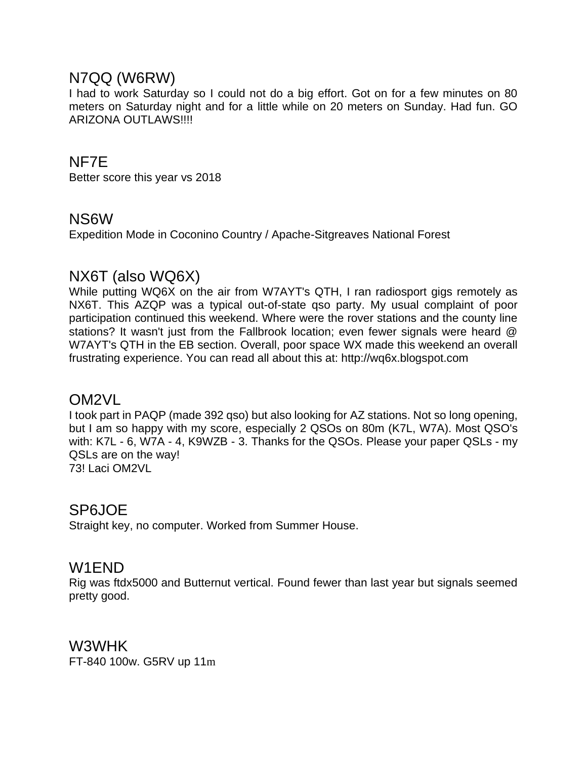## N7QQ (W6RW)

I had to work Saturday so I could not do a big effort. Got on for a few minutes on 80 meters on Saturday night and for a little while on 20 meters on Sunday. Had fun. GO ARIZONA OUTLAWS!!!!

## NF7E

Better score this year vs 2018

## NS6W

Expedition Mode in Coconino Country / Apache-Sitgreaves National Forest

## NX6T (also WQ6X)

While putting WQ6X on the air from W7AYT's QTH, I ran radiosport gigs remotely as NX6T. This AZQP was a typical out-of-state qso party. My usual complaint of poor participation continued this weekend. Where were the rover stations and the county line stations? It wasn't just from the Fallbrook location; even fewer signals were heard @ W7AYT's QTH in the EB section. Overall, poor space WX made this weekend an overall frustrating experience. You can read all about this at: http://wq6x.blogspot.com

## OM2VL

I took part in PAQP (made 392 qso) but also looking for AZ stations. Not so long opening, but I am so happy with my score, especially 2 QSOs on 80m (K7L, W7A). Most QSO's with: K7L - 6, W7A - 4, K9WZB - 3. Thanks for the QSOs. Please your paper QSLs - my QSLs are on the way! 73! Laci OM2VL

## SP6JOE

Straight key, no computer. Worked from Summer House.

## W1END

Rig was ftdx5000 and Butternut vertical. Found fewer than last year but signals seemed pretty good.

W3WHK FT-840 100w. G5RV up 11m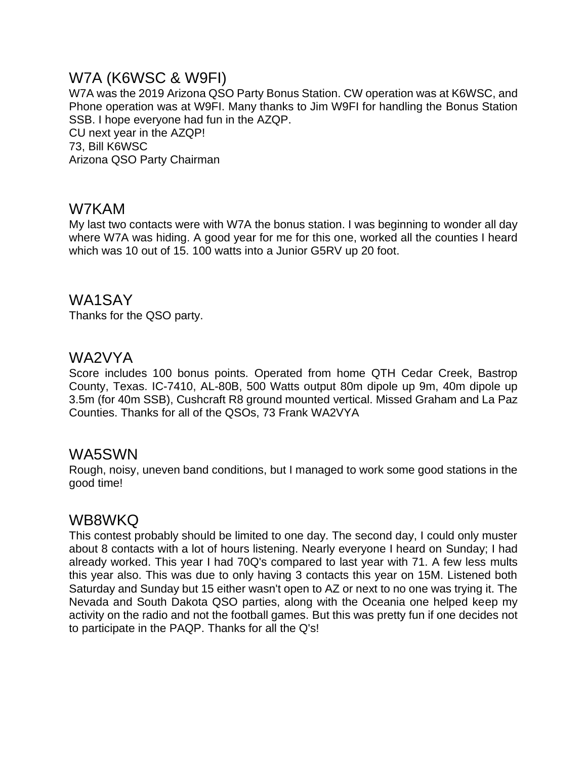## W7A (K6WSC & W9FI)

W7A was the 2019 Arizona QSO Party Bonus Station. CW operation was at K6WSC, and Phone operation was at W9FI. Many thanks to Jim W9FI for handling the Bonus Station SSB. I hope everyone had fun in the AZQP. CU next year in the AZQP! 73, Bill K6WSC Arizona QSO Party Chairman

## W7KAM

My last two contacts were with W7A the bonus station. I was beginning to wonder all day where W7A was hiding. A good year for me for this one, worked all the counties I heard which was 10 out of 15. 100 watts into a Junior G5RV up 20 foot.

## WA1SAY

Thanks for the QSO party.

#### WA2VYA

Score includes 100 bonus points. Operated from home QTH Cedar Creek, Bastrop County, Texas. IC-7410, AL-80B, 500 Watts output 80m dipole up 9m, 40m dipole up 3.5m (for 40m SSB), Cushcraft R8 ground mounted vertical. Missed Graham and La Paz Counties. Thanks for all of the QSOs, 73 Frank WA2VYA

#### WA5SWN

Rough, noisy, uneven band conditions, but I managed to work some good stations in the good time!

## WB8WKQ

This contest probably should be limited to one day. The second day, I could only muster about 8 contacts with a lot of hours listening. Nearly everyone I heard on Sunday; I had already worked. This year I had 70Q's compared to last year with 71. A few less mults this year also. This was due to only having 3 contacts this year on 15M. Listened both Saturday and Sunday but 15 either wasn't open to AZ or next to no one was trying it. The Nevada and South Dakota QSO parties, along with the Oceania one helped keep my activity on the radio and not the football games. But this was pretty fun if one decides not to participate in the PAQP. Thanks for all the Q's!